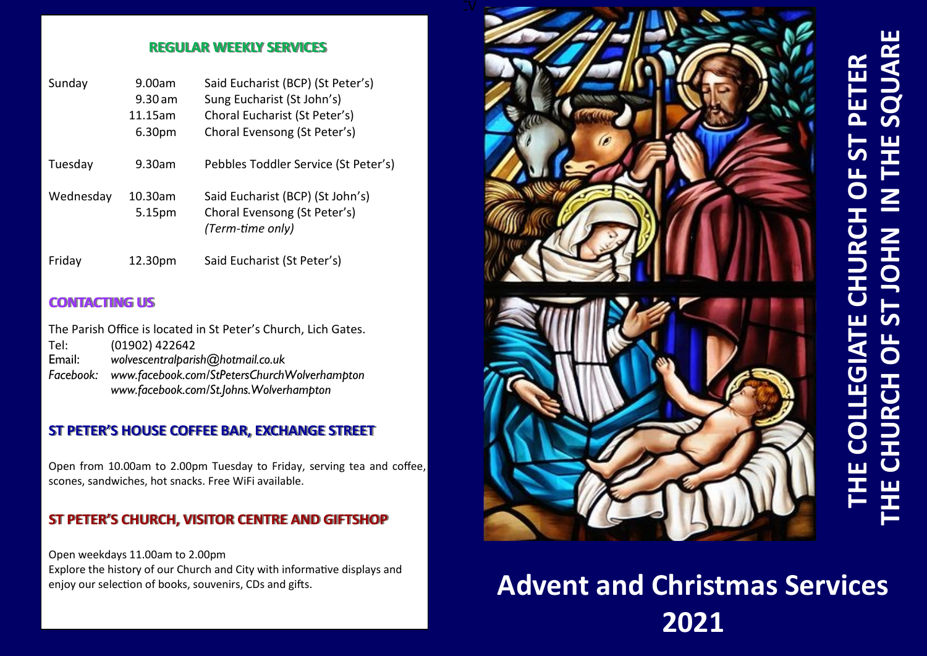#### **REGULAR WEEKLY SERVICES**

| Sunday    | 9.00am<br>$9.30$ am<br>11.15am<br>6.30pm | Said Eucharist (BCP) (St Peter's)<br>Sung Eucharist (St John's)<br>Choral Eucharist (St Peter's)<br>Choral Evensong (St Peter's) |
|-----------|------------------------------------------|----------------------------------------------------------------------------------------------------------------------------------|
| Tuesday   | 9.30am                                   | Pebbles Toddler Service (St Peter's)                                                                                             |
| Wednesday | 10.30am<br>5.15pm                        | Said Eucharist (BCP) (St John's)<br>Choral Evensong (St Peter's)<br>(Term-time only)                                             |
| Friday    | 12.30pm                                  | Said Eucharist (St Peter's)                                                                                                      |

#### **CONTACTING US**

The Parish Office is located in St Peter's Church, Lich Gates. Tel: (01902) 422642<br>
Email: wolvescentralbaris Email: *wolvescentralparish@hotmail.co.uk Facebook: www.facebook.com/StPetersChurchWolverhampton www.facebook.com/St.Johns.Wolverhampton*

### **ST PETER'S HOUSE COFFEE BAR, EXCHANGE STREET**

Open from 10.00am to 2.00pm Tuesday to Friday, serving tea and coffee, scones, sandwiches, hot snacks. Free WiFi available.

### **ST PETER'S CHURCH, VISITOR CENTRE AND GIFTSHOP**

Open weekdays 11.00am to 2.00pm Explore the history of our Church and City with informative displays and enjoy our selection of books, souvenirs, CDs and gifts.



# **THE CHURCH OF ST JOHN IN THE SQUARE** IN THE SQUAR  **THE COLLEGIATE CHURCH OF ST PETER** PETER  $\overline{0}$ CHURCH OF ST JOHN ш **COLLEGIAT**

## **Advent and Christmas Services 2021**